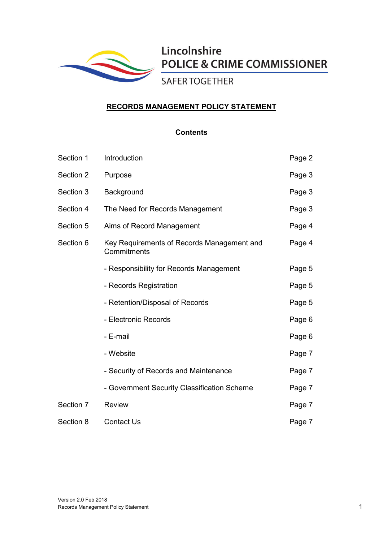

Lincolnshire **POLICE & CRIME COMMISSIONER** 

**SAFER TOGETHER** 

# **RECORDS MANAGEMENT POLICY STATEMENT**

# **Contents**

| Section 1 | Introduction                                              | Page 2 |
|-----------|-----------------------------------------------------------|--------|
| Section 2 | Purpose                                                   | Page 3 |
| Section 3 | Background                                                | Page 3 |
| Section 4 | The Need for Records Management                           | Page 3 |
| Section 5 | Aims of Record Management                                 | Page 4 |
| Section 6 | Key Requirements of Records Management and<br>Commitments | Page 4 |
|           | - Responsibility for Records Management                   | Page 5 |
|           | - Records Registration                                    | Page 5 |
|           | - Retention/Disposal of Records                           | Page 5 |
|           | - Electronic Records                                      | Page 6 |
|           | - E-mail                                                  | Page 6 |
|           | - Website                                                 | Page 7 |
|           | - Security of Records and Maintenance                     | Page 7 |
|           | - Government Security Classification Scheme               | Page 7 |
| Section 7 | <b>Review</b>                                             | Page 7 |
| Section 8 | <b>Contact Us</b>                                         | Page 7 |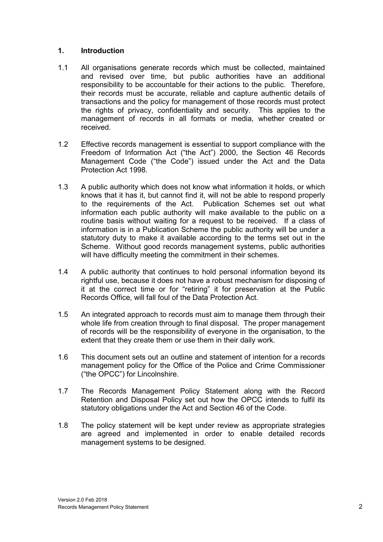### **1. Introduction**

- 1.1 All organisations generate records which must be collected, maintained and revised over time, but public authorities have an additional responsibility to be accountable for their actions to the public. Therefore, their records must be accurate, reliable and capture authentic details of transactions and the policy for management of those records must protect the rights of privacy, confidentiality and security. This applies to the management of records in all formats or media, whether created or received.
- 1.2 Effective records management is essential to support compliance with the Freedom of Information Act ("the Act") 2000, the Section 46 Records Management Code ("the Code") issued under the Act and the Data Protection Act 1998.
- 1.3 A public authority which does not know what information it holds, or which knows that it has it, but cannot find it, will not be able to respond properly to the requirements of the Act. Publication Schemes set out what information each public authority will make available to the public on a routine basis without waiting for a request to be received. If a class of information is in a Publication Scheme the public authority will be under a statutory duty to make it available according to the terms set out in the Scheme. Without good records management systems, public authorities will have difficulty meeting the commitment in their schemes.
- 1.4 A public authority that continues to hold personal information beyond its rightful use, because it does not have a robust mechanism for disposing of it at the correct time or for "retiring" it for preservation at the Public Records Office, will fall foul of the Data Protection Act.
- 1.5 An integrated approach to records must aim to manage them through their whole life from creation through to final disposal. The proper management of records will be the responsibility of everyone in the organisation, to the extent that they create them or use them in their daily work.
- 1.6 This document sets out an outline and statement of intention for a records management policy for the Office of the Police and Crime Commissioner ("the OPCC") for Lincolnshire.
- 1.7 The Records Management Policy Statement along with the Record Retention and Disposal Policy set out how the OPCC intends to fulfil its statutory obligations under the Act and Section 46 of the Code.
- 1.8 The policy statement will be kept under review as appropriate strategies are agreed and implemented in order to enable detailed records management systems to be designed.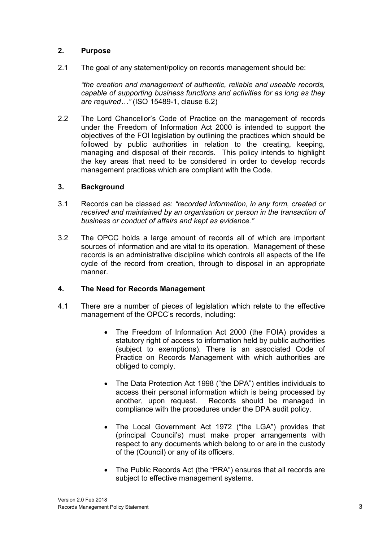# **2. Purpose**

2.1 The goal of any statement/policy on records management should be:

*"the creation and management of authentic, reliable and useable records, capable of supporting business functions and activities for as long as they are required…"* (ISO 15489-1, clause 6.2)

2.2 The Lord Chancellor's Code of Practice on the management of records under the Freedom of Information Act 2000 is intended to support the objectives of the FOI legislation by outlining the practices which should be followed by public authorities in relation to the creating, keeping, managing and disposal of their records. This policy intends to highlight the key areas that need to be considered in order to develop records management practices which are compliant with the Code.

### **3. Background**

- 3.1 Records can be classed as: *"recorded information, in any form, created or received and maintained by an organisation or person in the transaction of business or conduct of affairs and kept as evidence."*
- 3.2 The OPCC holds a large amount of records all of which are important sources of information and are vital to its operation. Management of these records is an administrative discipline which controls all aspects of the life cycle of the record from creation, through to disposal in an appropriate manner.

#### **4. The Need for Records Management**

- 4.1 There are a number of pieces of legislation which relate to the effective management of the OPCC's records, including:
	- The Freedom of Information Act 2000 (the FOIA) provides a statutory right of access to information held by public authorities (subject to exemptions). There is an associated Code of Practice on Records Management with which authorities are obliged to comply.
	- The Data Protection Act 1998 ("the DPA") entitles individuals to access their personal information which is being processed by another, upon request. Records should be managed in compliance with the procedures under the DPA audit policy.
	- The Local Government Act 1972 ("the LGA") provides that (principal Council's) must make proper arrangements with respect to any documents which belong to or are in the custody of the (Council) or any of its officers.
	- The Public Records Act (the "PRA") ensures that all records are subject to effective management systems.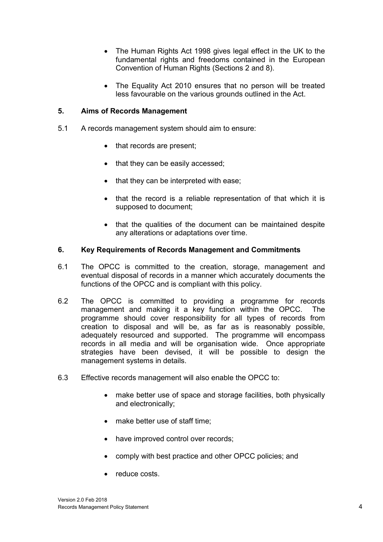- The Human Rights Act 1998 gives legal effect in the UK to the fundamental rights and freedoms contained in the European Convention of Human Rights (Sections 2 and 8).
- The Equality Act 2010 ensures that no person will be treated less favourable on the various grounds outlined in the Act.

### **5. Aims of Records Management**

- 5.1 A records management system should aim to ensure:
	- that records are present:
	- that they can be easily accessed;
	- that they can be interpreted with ease;
	- that the record is a reliable representation of that which it is supposed to document;
	- that the qualities of the document can be maintained despite any alterations or adaptations over time.

#### **6. Key Requirements of Records Management and Commitments**

- 6.1 The OPCC is committed to the creation, storage, management and eventual disposal of records in a manner which accurately documents the functions of the OPCC and is compliant with this policy.
- 6.2 The OPCC is committed to providing a programme for records management and making it a key function within the OPCC. The programme should cover responsibility for all types of records from creation to disposal and will be, as far as is reasonably possible, adequately resourced and supported. The programme will encompass records in all media and will be organisation wide. Once appropriate strategies have been devised, it will be possible to design the management systems in details.
- 6.3 Effective records management will also enable the OPCC to:
	- make better use of space and storage facilities, both physically and electronically;
	- make better use of staff time;
	- have improved control over records;
	- comply with best practice and other OPCC policies; and
	- reduce costs.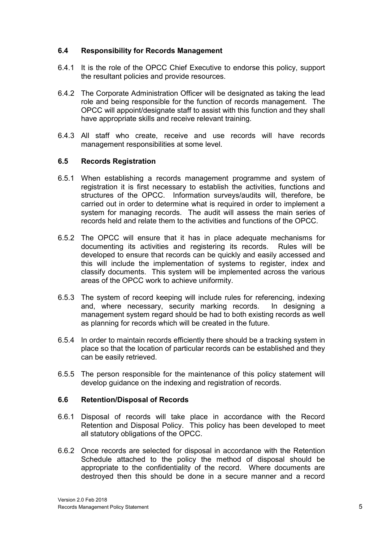### **6.4 Responsibility for Records Management**

- 6.4.1 It is the role of the OPCC Chief Executive to endorse this policy, support the resultant policies and provide resources.
- 6.4.2 The Corporate Administration Officer will be designated as taking the lead role and being responsible for the function of records management. The OPCC will appoint/designate staff to assist with this function and they shall have appropriate skills and receive relevant training.
- 6.4.3 All staff who create, receive and use records will have records management responsibilities at some level.

#### **6.5 Records Registration**

- 6.5.1 When establishing a records management programme and system of registration it is first necessary to establish the activities, functions and structures of the OPCC. Information surveys/audits will, therefore, be carried out in order to determine what is required in order to implement a system for managing records. The audit will assess the main series of records held and relate them to the activities and functions of the OPCC.
- 6.5.2 The OPCC will ensure that it has in place adequate mechanisms for documenting its activities and registering its records. Rules will be developed to ensure that records can be quickly and easily accessed and this will include the implementation of systems to register, index and classify documents. This system will be implemented across the various areas of the OPCC work to achieve uniformity.
- 6.5.3 The system of record keeping will include rules for referencing, indexing and, where necessary, security marking records. In designing a management system regard should be had to both existing records as well as planning for records which will be created in the future.
- 6.5.4 In order to maintain records efficiently there should be a tracking system in place so that the location of particular records can be established and they can be easily retrieved.
- 6.5.5 The person responsible for the maintenance of this policy statement will develop guidance on the indexing and registration of records.

#### **6.6 Retention/Disposal of Records**

- 6.6.1 Disposal of records will take place in accordance with the Record Retention and Disposal Policy. This policy has been developed to meet all statutory obligations of the OPCC.
- 6.6.2 Once records are selected for disposal in accordance with the Retention Schedule attached to the policy the method of disposal should be appropriate to the confidentiality of the record. Where documents are destroyed then this should be done in a secure manner and a record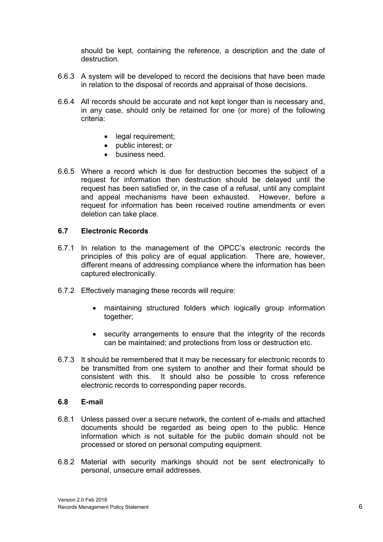should be kept, containing the reference, a description and the date of destruction.

- 6.6.3 A system will be developed to record the decisions that have been made in relation to the disposal of records and appraisal of those decisions.
- 6.6.4 All records should be accurate and not kept longer than is necessary and, in any case, should only be retained for one (or more) of the following criteria:
	- legal requirement;
	- public interest: or
	- **•** business need.
- 6.6.5 Where a record which is due for destruction becomes the subject of a request for information then destruction should be delayed until the request has been satisfied or, in the case of a refusal, until any complaint and appeal mechanisms have been exhausted. However, before a request for information has been received routine amendments or even deletion can take place.

### **6.7 Electronic Records**

- 6.7.1 In relation to the management of the OPCC's electronic records the principles of this policy are of equal application. There are, however, different means of addressing compliance where the information has been captured electronically.
- 6.7.2 Effectively managing these records will require:
	- maintaining structured folders which logically group information together;
	- security arrangements to ensure that the integrity of the records can be maintained; and protections from loss or destruction etc.
- 6.7.3 It should be remembered that it may be necessary for electronic records to be transmitted from one system to another and their format should be consistent with this. It should also be possible to cross reference electronic records to corresponding paper records.

#### **6.8 E-mail**

- 6.8.1 Unless passed over a secure network, the content of e-mails and attached documents should be regarded as being open to the public. Hence information which is not suitable for the public domain should not be processed or stored on personal computing equipment.
- 6.8.2 Material with security markings should not be sent electronically to personal, unsecure email addresses.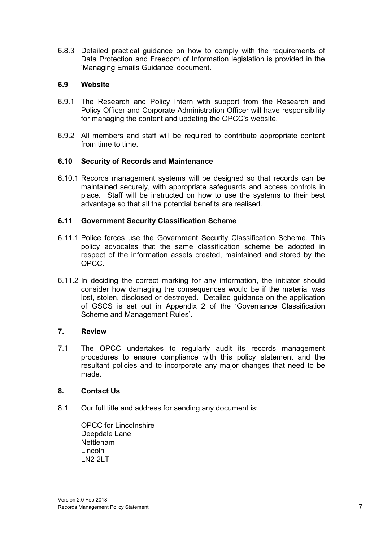6.8.3 Detailed practical guidance on how to comply with the requirements of Data Protection and Freedom of Information legislation is provided in the 'Managing Emails Guidance' document.

# **6.9 Website**

- 6.9.1 The Research and Policy Intern with support from the Research and Policy Officer and Corporate Administration Officer will have responsibility for managing the content and updating the OPCC's website.
- 6.9.2 All members and staff will be required to contribute appropriate content from time to time.

# **6.10 Security of Records and Maintenance**

6.10.1 Records management systems will be designed so that records can be maintained securely, with appropriate safeguards and access controls in place. Staff will be instructed on how to use the systems to their best advantage so that all the potential benefits are realised.

# **6.11 Government Security Classification Scheme**

- 6.11.1 Police forces use the Government Security Classification Scheme. This policy advocates that the same classification scheme be adopted in respect of the information assets created, maintained and stored by the OPCC.
- 6.11.2 In deciding the correct marking for any information, the initiator should consider how damaging the consequences would be if the material was lost, stolen, disclosed or destroyed. Detailed guidance on the application of GSCS is set out in Appendix 2 of the 'Governance Classification Scheme and Management Rules'.

# **7. Review**

7.1 The OPCC undertakes to regularly audit its records management procedures to ensure compliance with this policy statement and the resultant policies and to incorporate any major changes that need to be made.

# **8. Contact Us**

8.1 Our full title and address for sending any document is:

OPCC for Lincolnshire Deepdale Lane Nettleham Lincoln LN2 2LT